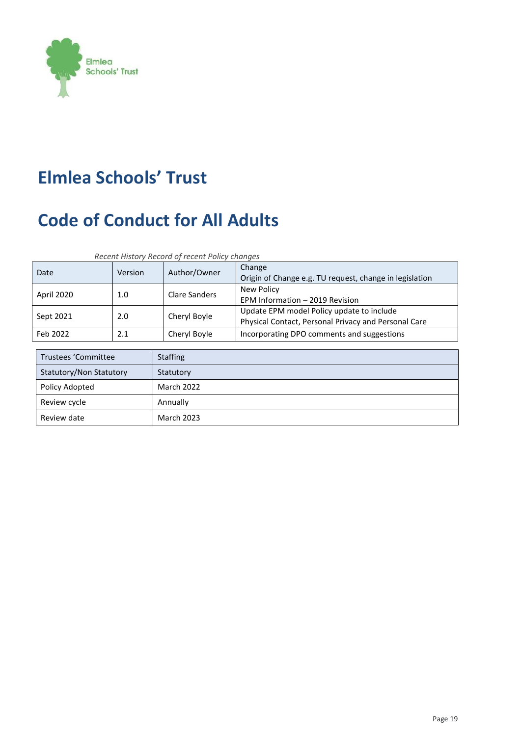

# **Elmlea Schools' Trust**

# **Code of Conduct for All Adults**

*Recent History Record of recent Policy changes* 

| Date       | <b>Version</b> | Author/Owner  | Change<br>Origin of Change e.g. TU request, change in legislation                                 |
|------------|----------------|---------------|---------------------------------------------------------------------------------------------------|
| April 2020 | 1.0            | Clare Sanders | New Policy<br>EPM Information - 2019 Revision                                                     |
| Sept 2021  | 2.0            | Cheryl Boyle  | Update EPM model Policy update to include<br>Physical Contact, Personal Privacy and Personal Care |
| Feb 2022   | 2.1            | Cheryl Boyle  | Incorporating DPO comments and suggestions                                                        |

| Trustees 'Committee     | <b>Staffing</b>   |
|-------------------------|-------------------|
| Statutory/Non Statutory | Statutory         |
| Policy Adopted          | <b>March 2022</b> |
| Review cycle            | Annually          |
| Review date             | March 2023        |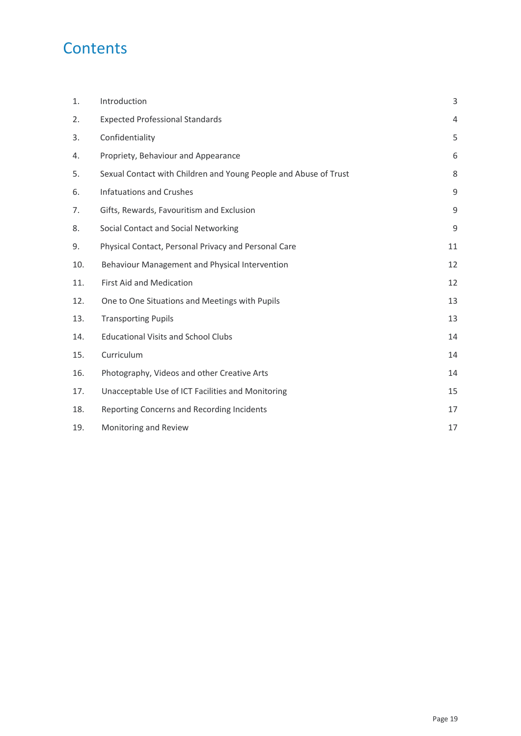# **Contents**

| 1.  | Introduction                                                     | 3  |
|-----|------------------------------------------------------------------|----|
| 2.  | <b>Expected Professional Standards</b>                           | 4  |
| 3.  | Confidentiality                                                  | 5  |
| 4.  | Propriety, Behaviour and Appearance                              | 6  |
| 5.  | Sexual Contact with Children and Young People and Abuse of Trust | 8  |
| 6.  | <b>Infatuations and Crushes</b>                                  | 9  |
| 7.  | Gifts, Rewards, Favouritism and Exclusion                        | 9  |
| 8.  | Social Contact and Social Networking                             | 9  |
| 9.  | Physical Contact, Personal Privacy and Personal Care             | 11 |
| 10. | Behaviour Management and Physical Intervention                   | 12 |
| 11. | <b>First Aid and Medication</b>                                  | 12 |
| 12. | One to One Situations and Meetings with Pupils                   | 13 |
| 13. | <b>Transporting Pupils</b>                                       | 13 |
| 14. | <b>Educational Visits and School Clubs</b>                       | 14 |
| 15. | Curriculum                                                       | 14 |
| 16. | Photography, Videos and other Creative Arts                      | 14 |
| 17. | Unacceptable Use of ICT Facilities and Monitoring                | 15 |
| 18. | Reporting Concerns and Recording Incidents                       | 17 |
| 19. | Monitoring and Review                                            | 17 |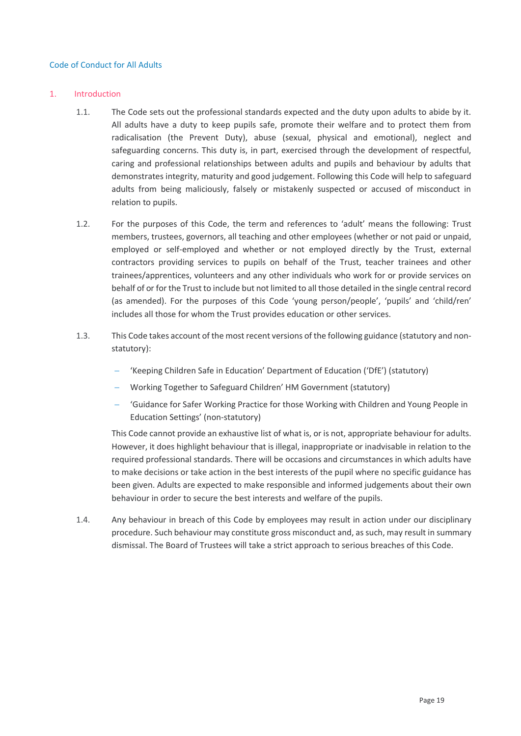#### Code of Conduct for All Adults

#### 1. Introduction

- 1.1. The Code sets out the professional standards expected and the duty upon adults to abide by it. All adults have a duty to keep pupils safe, promote their welfare and to protect them from radicalisation (the Prevent Duty), abuse (sexual, physical and emotional), neglect and safeguarding concerns. This duty is, in part, exercised through the development of respectful, caring and professional relationships between adults and pupils and behaviour by adults that demonstrates integrity, maturity and good judgement. Following this Code will help to safeguard adults from being maliciously, falsely or mistakenly suspected or accused of misconduct in relation to pupils.
- 1.2. For the purposes of this Code, the term and references to 'adult' means the following: Trust members, trustees, governors, all teaching and other employees (whether or not paid or unpaid, employed or self-employed and whether or not employed directly by the Trust, external contractors providing services to pupils on behalf of the Trust, teacher trainees and other trainees/apprentices, volunteers and any other individuals who work for or provide services on behalf of or for the Trust to include but not limited to all those detailed in the single central record (as amended). For the purposes of this Code 'young person/people', 'pupils' and 'child/ren' includes all those for whom the Trust provides education or other services.
- 1.3. This Code takes account of the most recent versions of the following guidance (statutory and nonstatutory):
	- 'Keeping Children Safe in Education' Department of Education ('DfE') (statutory)
	- Working Together to Safeguard Children' HM Government (statutory)
	- 'Guidance for Safer Working Practice for those Working with Children and Young People in Education Settings' (non-statutory)

This Code cannot provide an exhaustive list of what is, or is not, appropriate behaviour for adults. However, it does highlight behaviour that is illegal, inappropriate or inadvisable in relation to the required professional standards. There will be occasions and circumstances in which adults have to make decisions or take action in the best interests of the pupil where no specific guidance has been given. Adults are expected to make responsible and informed judgements about their own behaviour in order to secure the best interests and welfare of the pupils.

1.4. Any behaviour in breach of this Code by employees may result in action under our disciplinary procedure. Such behaviour may constitute gross misconduct and, as such, may result in summary dismissal. The Board of Trustees will take a strict approach to serious breaches of this Code.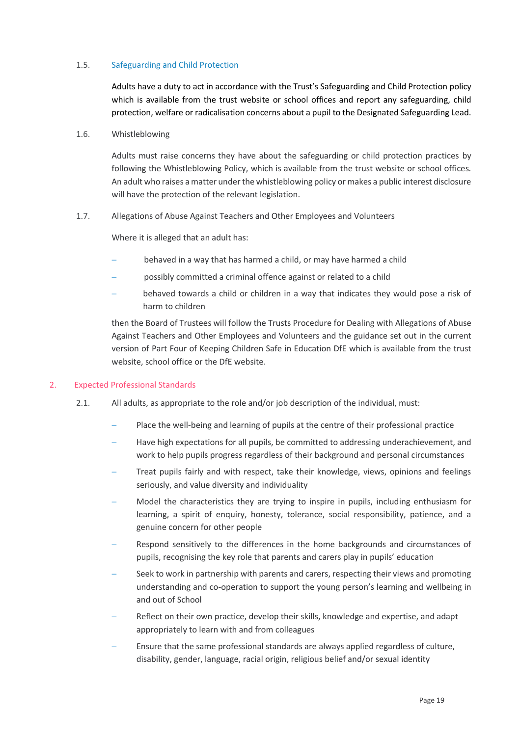#### 1.5. Safeguarding and Child Protection

Adults have a duty to act in accordance with the Trust's Safeguarding and Child Protection policy which is available from the trust website or school offices and report any safeguarding, child protection, welfare or radicalisation concerns about a pupil to the Designated Safeguarding Lead.

#### 1.6. Whistleblowing

Adults must raise concerns they have about the safeguarding or child protection practices by following the Whistleblowing Policy, which is available from the trust website or school offices*.* An adult who raises a matter under the whistleblowing policy or makes a public interest disclosure will have the protection of the relevant legislation.

#### 1.7. Allegations of Abuse Against Teachers and Other Employees and Volunteers

Where it is alleged that an adult has:

- behaved in a way that has harmed a child, or may have harmed a child
- possibly committed a criminal offence against or related to a child
- behaved towards a child or children in a way that indicates they would pose a risk of harm to children

then the Board of Trustees will follow the Trusts Procedure for Dealing with Allegations of Abuse Against Teachers and Other Employees and Volunteers and the guidance set out in the current version of Part Four of Keeping Children Safe in Education DfE which is available from the trust website, school office or the DfE website.

#### 2. Expected Professional Standards

- 2.1. All adults, as appropriate to the role and/or job description of the individual, must:
	- Place the well-being and learning of pupils at the centre of their professional practice
	- Have high expectations for all pupils, be committed to addressing underachievement, and work to help pupils progress regardless of their background and personal circumstances
	- Treat pupils fairly and with respect, take their knowledge, views, opinions and feelings seriously, and value diversity and individuality
	- Model the characteristics they are trying to inspire in pupils, including enthusiasm for learning, a spirit of enquiry, honesty, tolerance, social responsibility, patience, and a genuine concern for other people
	- Respond sensitively to the differences in the home backgrounds and circumstances of pupils, recognising the key role that parents and carers play in pupils' education
	- Seek to work in partnership with parents and carers, respecting their views and promoting understanding and co-operation to support the young person's learning and wellbeing in and out of School
	- Reflect on their own practice, develop their skills, knowledge and expertise, and adapt appropriately to learn with and from colleagues
	- Ensure that the same professional standards are always applied regardless of culture, disability, gender, language, racial origin, religious belief and/or sexual identity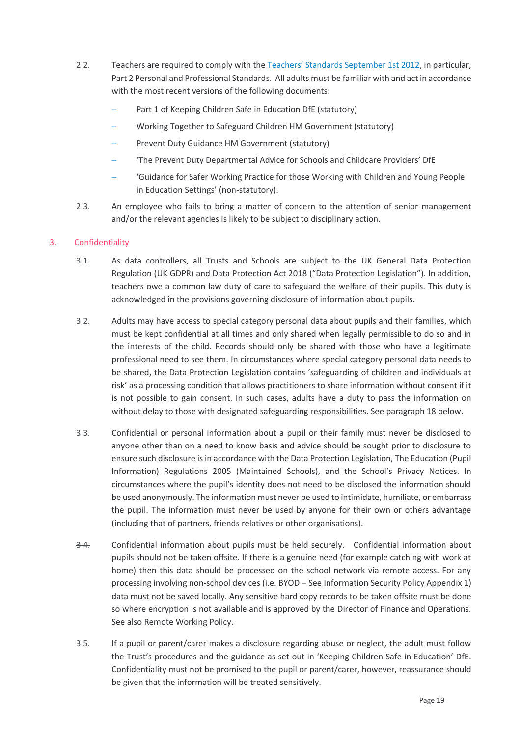- 2.2. Teachers are required to comply with the [Teachers' Standards September 1st 2012](about:blank), in particular, Part 2 Personal and Professional Standards. All adults must be familiar with and act in accordance with the most recent versions of the following documents:
	- Part 1 of Keeping Children Safe in Education DfE (statutory)
	- Working Together to Safeguard Children HM Government (statutory)
	- Prevent Duty Guidance HM Government (statutory)
	- 'The Prevent Duty Departmental Advice for Schools and Childcare Providers' DfE
	- 'Guidance for Safer Working Practice for those Working with Children and Young People in Education Settings' (non-statutory).
- 2.3. An employee who fails to bring a matter of concern to the attention of senior management and/or the relevant agencies is likely to be subject to disciplinary action.

# 3. Confidentiality

- 3.1. As data controllers, all Trusts and Schools are subject to the UK General Data Protection Regulation (UK GDPR) and Data Protection Act 2018 ("Data Protection Legislation"). In addition, teachers owe a common law duty of care to safeguard the welfare of their pupils. This duty is acknowledged in the provisions governing disclosure of information about pupils.
- 3.2. Adults may have access to special category personal data about pupils and their families, which must be kept confidential at all times and only shared when legally permissible to do so and in the interests of the child. Records should only be shared with those who have a legitimate professional need to see them. In circumstances where special category personal data needs to be shared, the Data Protection Legislation contains 'safeguarding of children and individuals at risk' as a processing condition that allows practitioners to share information without consent if it is not possible to gain consent. In such cases, adults have a duty to pass the information on without delay to those with designated safeguarding responsibilities. See paragraph 18 below.
- 3.3. Confidential or personal information about a pupil or their family must never be disclosed to anyone other than on a need to know basis and advice should be sought prior to disclosure to ensure such disclosure is in accordance with the Data Protection Legislation, The Education (Pupil Information) Regulations 2005 (Maintained Schools), and the School's Privacy Notices. In circumstances where the pupil's identity does not need to be disclosed the information should be used anonymously. The information must never be used to intimidate, humiliate, or embarrass the pupil. The information must never be used by anyone for their own or others advantage (including that of partners, friends relatives or other organisations).
- 3.4. Confidential information about pupils must be held securely. Confidential information about pupils should not be taken offsite. If there is a genuine need (for example catching with work at home) then this data should be processed on the school network via remote access. For any processing involving non-school devices (i.e. BYOD – See Information Security Policy Appendix 1) data must not be saved locally. Any sensitive hard copy records to be taken offsite must be done so where encryption is not available and is approved by the Director of Finance and Operations. See also Remote Working Policy.
- 3.5. If a pupil or parent/carer makes a disclosure regarding abuse or neglect, the adult must follow the Trust's procedures and the guidance as set out in 'Keeping Children Safe in Education' DfE. Confidentiality must not be promised to the pupil or parent/carer, however, reassurance should be given that the information will be treated sensitively.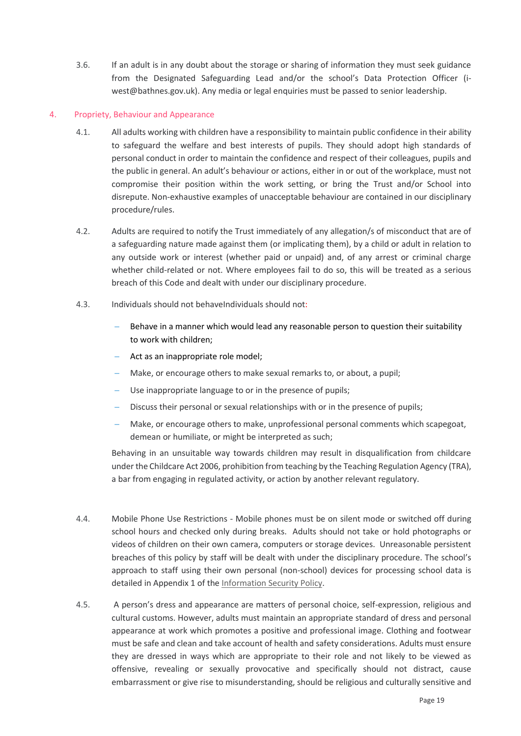3.6. If an adult is in any doubt about the storage or sharing of information they must seek guidance from the Designated Safeguarding Lead and/or the school's Data Protection Officer (iwest@bathnes.gov.uk). Any media or legal enquiries must be passed to senior leadership.

# 4. Propriety, Behaviour and Appearance

- 4.1. All adults working with children have a responsibility to maintain public confidence in their ability to safeguard the welfare and best interests of pupils. They should adopt high standards of personal conduct in order to maintain the confidence and respect of their colleagues, pupils and the public in general. An adult's behaviour or actions, either in or out of the workplace, must not compromise their position within the work setting, or bring the Trust and/or School into disrepute. Non-exhaustive examples of unacceptable behaviour are contained in our disciplinary procedure/rules.
- 4.2. Adults are required to notify the Trust immediately of any allegation/s of misconduct that are of a safeguarding nature made against them (or implicating them), by a child or adult in relation to any outside work or interest (whether paid or unpaid) and, of any arrest or criminal charge whether child-related or not. Where employees fail to do so, this will be treated as a serious breach of this Code and dealt with under our disciplinary procedure.
- 4.3. Individuals should not behaveIndividuals should not:
	- Behave in a manner which would lead any reasonable person to question their suitability to work with children;
	- Act as an inappropriate role model;
	- Make, or encourage others to make sexual remarks to, or about, a pupil;
	- Use inappropriate language to or in the presence of pupils;
	- Discuss their personal or sexual relationships with or in the presence of pupils;
	- Make, or encourage others to make, unprofessional personal comments which scapegoat, demean or humiliate, or might be interpreted as such;

Behaving in an unsuitable way towards children may result in disqualification from childcare under the Childcare Act 2006, prohibition from teaching by the Teaching Regulation Agency (TRA), a bar from engaging in regulated activity, or action by another relevant regulatory.

- 4.4. Mobile Phone Use Restrictions Mobile phones must be on silent mode or switched off during school hours and checked only during breaks. Adults should not take or hold photographs or videos of children on their own camera, computers or storage devices. Unreasonable persistent breaches of this policy by staff will be dealt with under the disciplinary procedure. The school's approach to staff using their own personal (non-school) devices for processing school data is detailed in Appendix 1 of the [Information Security Policy.](https://www.elmleaschoolstrust.com/wp-content/uploads/2021/05/EST-Information-Security-Policy-Adopted-23-February-2021.pdf)
- 4.5. A person's dress and appearance are matters of personal choice, self-expression, religious and cultural customs. However, adults must maintain an appropriate standard of dress and personal appearance at work which promotes a positive and professional image. Clothing and footwear must be safe and clean and take account of health and safety considerations. Adults must ensure they are dressed in ways which are appropriate to their role and not likely to be viewed as offensive, revealing or sexually provocative and specifically should not distract, cause embarrassment or give rise to misunderstanding, should be religious and culturally sensitive and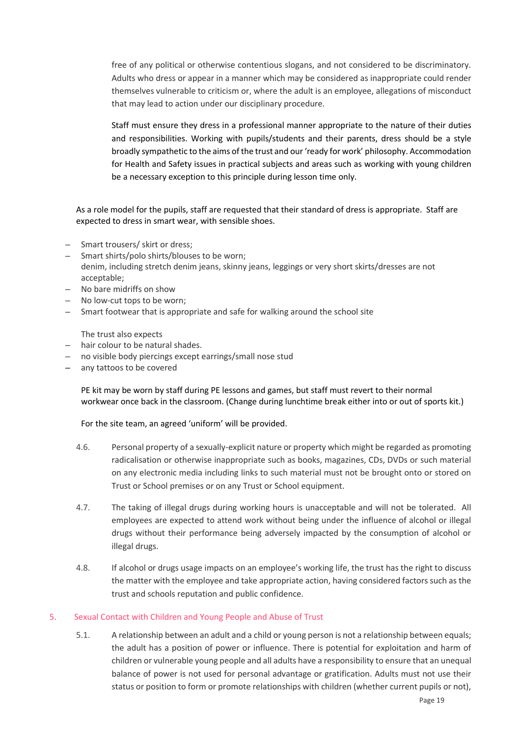free of any political or otherwise contentious slogans, and not considered to be discriminatory. Adults who dress or appear in a manner which may be considered as inappropriate could render themselves vulnerable to criticism or, where the adult is an employee, allegations of misconduct that may lead to action under our disciplinary procedure.

Staff must ensure they dress in a professional manner appropriate to the nature of their duties and responsibilities. Working with pupils/students and their parents, dress should be a style broadly sympathetic to the aims of the trust and our'ready for work' philosophy. Accommodation for Health and Safety issues in practical subjects and areas such as working with young children be a necessary exception to this principle during lesson time only.

As a role model for the pupils, staff are requested that their standard of dress is appropriate. Staff are expected to dress in smart wear, with sensible shoes.

- Smart trousers/ skirt or dress;
- Smart shirts/polo shirts/blouses to be worn; denim, including stretch denim jeans, skinny jeans, leggings or very short skirts/dresses are not acceptable;
- No bare midriffs on show
- No low-cut tops to be worn;
- Smart footwear that is appropriate and safe for walking around the school site

The trust also expects

- hair colour to be natural shades.
- no visible body piercings except earrings/small nose stud
- any tattoos to be covered

PE kit may be worn by staff during PE lessons and games, but staff must revert to their normal workwear once back in the classroom. (Change during lunchtime break either into or out of sports kit.)

For the site team, an agreed 'uniform' will be provided.

- 4.6. Personal property of a sexually-explicit nature or property which might be regarded as promoting radicalisation or otherwise inappropriate such as books, magazines, CDs, DVDs or such material on any electronic media including links to such material must not be brought onto or stored on Trust or School premises or on any Trust or School equipment.
- 4.7. The taking of illegal drugs during working hours is unacceptable and will not be tolerated. All employees are expected to attend work without being under the influence of alcohol or illegal drugs without their performance being adversely impacted by the consumption of alcohol or illegal drugs.
- 4.8. If alcohol or drugs usage impacts on an employee's working life, the trust has the right to discuss the matter with the employee and take appropriate action, having considered factors such as the trust and schools reputation and public confidence.

# 5. Sexual Contact with Children and Young People and Abuse of Trust

5.1. A relationship between an adult and a child or young person is not a relationship between equals; the adult has a position of power or influence. There is potential for exploitation and harm of children or vulnerable young people and all adults have a responsibility to ensure that an unequal balance of power is not used for personal advantage or gratification. Adults must not use their status or position to form or promote relationships with children (whether current pupils or not),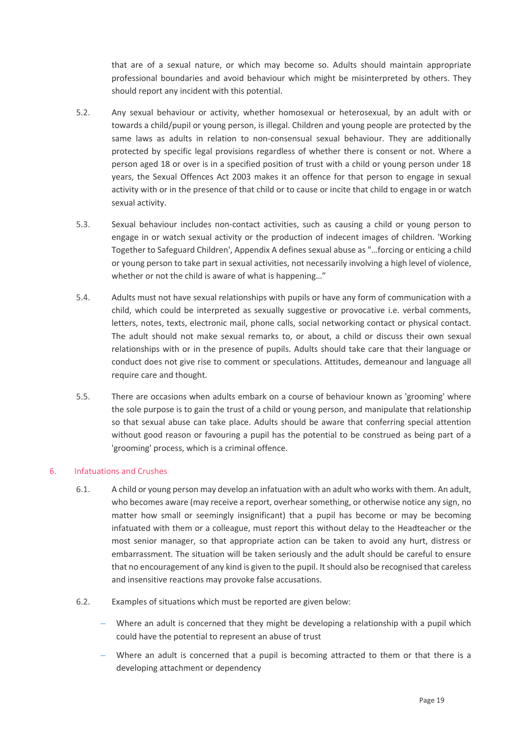that are of a sexual nature, or which may become so. Adults should maintain appropriate professional boundaries and avoid behaviour which might be misinterpreted by others. They should report any incident with this potential.

- 5.2. Any sexual behaviour or activity, whether homosexual or heterosexual, by an adult with or towards a child/pupil or young person, is illegal. Children and young people are protected by the same laws as adults in relation to non-consensual sexual behaviour. They are additionally protected by specific legal provisions regardless of whether there is consent or not. Where a person aged 18 or over is in a specified position of trust with a child or young person under 18 years, the Sexual Offences Act 2003 makes it an offence for that person to engage in sexual activity with or in the presence of that child or to cause or incite that child to engage in or watch sexual activity.
- 5.3. Sexual behaviour includes non-contact activities, such as causing a child or young person to engage in or watch sexual activity or the production of indecent images of children. 'Working Together to Safeguard Children', Appendix A defines sexual abuse as "…forcing or enticing a child or young person to take part in sexual activities, not necessarily involving a high level of violence, whether or not the child is aware of what is happening…"
- 5.4. Adults must not have sexual relationships with pupils or have any form of communication with a child, which could be interpreted as sexually suggestive or provocative i.e. verbal comments, letters, notes, texts, electronic mail, phone calls, social networking contact or physical contact. The adult should not make sexual remarks to, or about, a child or discuss their own sexual relationships with or in the presence of pupils. Adults should take care that their language or conduct does not give rise to comment or speculations. Attitudes, demeanour and language all require care and thought.
- 5.5. There are occasions when adults embark on a course of behaviour known as 'grooming' where the sole purpose is to gain the trust of a child or young person, and manipulate that relationship so that sexual abuse can take place. Adults should be aware that conferring special attention without good reason or favouring a pupil has the potential to be construed as being part of a 'grooming' process, which is a criminal offence.

# 6. Infatuations and Crushes

- 6.1. A child or young person may develop an infatuation with an adult who works with them. An adult, who becomes aware (may receive a report, overhear something, or otherwise notice any sign, no matter how small or seemingly insignificant) that a pupil has become or may be becoming infatuated with them or a colleague, must report this without delay to the Headteacher or the most senior manager, so that appropriate action can be taken to avoid any hurt, distress or embarrassment. The situation will be taken seriously and the adult should be careful to ensure that no encouragement of any kind is given to the pupil. It should also be recognised that careless and insensitive reactions may provoke false accusations.
- 6.2. Examples of situations which must be reported are given below:
	- Where an adult is concerned that they might be developing a relationship with a pupil which could have the potential to represent an abuse of trust
	- Where an adult is concerned that a pupil is becoming attracted to them or that there is a developing attachment or dependency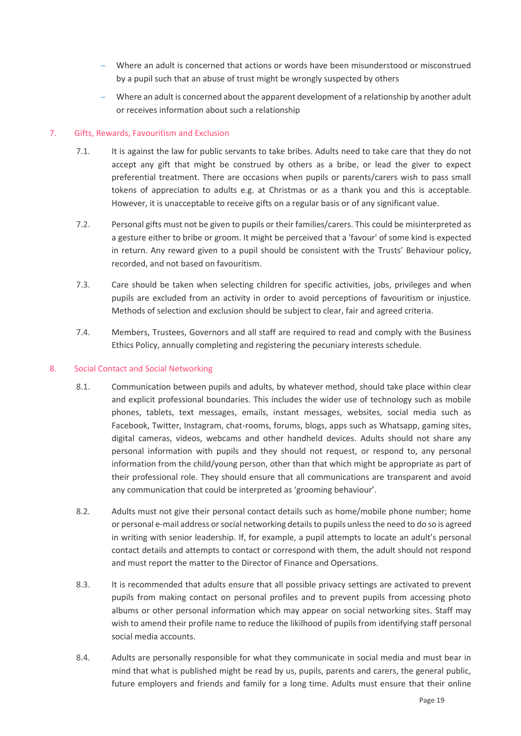- Where an adult is concerned that actions or words have been misunderstood or misconstrued by a pupil such that an abuse of trust might be wrongly suspected by others
- Where an adult is concerned about the apparent development of a relationship by another adult or receives information about such a relationship

# 7. Gifts, Rewards, Favouritism and Exclusion

- 7.1. It is against the law for public servants to take bribes. Adults need to take care that they do not accept any gift that might be construed by others as a bribe, or lead the giver to expect preferential treatment. There are occasions when pupils or parents/carers wish to pass small tokens of appreciation to adults e.g. at Christmas or as a thank you and this is acceptable. However, it is unacceptable to receive gifts on a regular basis or of any significant value.
- 7.2. Personal gifts must not be given to pupils or their families/carers. This could be misinterpreted as a gesture either to bribe or groom. It might be perceived that a 'favour' of some kind is expected in return. Any reward given to a pupil should be consistent with the Trusts' Behaviour policy, recorded, and not based on favouritism.
- 7.3. Care should be taken when selecting children for specific activities, jobs, privileges and when pupils are excluded from an activity in order to avoid perceptions of favouritism or injustice. Methods of selection and exclusion should be subject to clear, fair and agreed criteria.
- 7.4. Members, Trustees, Governors and all staff are required to read and comply with the Business Ethics Policy, annually completing and registering the pecuniary interests schedule.

# 8. Social Contact and Social Networking

- 8.1. Communication between pupils and adults, by whatever method, should take place within clear and explicit professional boundaries. This includes the wider use of technology such as mobile phones, tablets, text messages, emails, instant messages, websites, social media such as Facebook, Twitter, Instagram, chat-rooms, forums, blogs, apps such as Whatsapp, gaming sites, digital cameras, videos, webcams and other handheld devices. Adults should not share any personal information with pupils and they should not request, or respond to, any personal information from the child/young person, other than that which might be appropriate as part of their professional role. They should ensure that all communications are transparent and avoid any communication that could be interpreted as 'grooming behaviour'.
- 8.2. Adults must not give their personal contact details such as home/mobile phone number; home or personal e-mail address or social networking details to pupils unless the need to do so is agreed in writing with senior leadership. If, for example, a pupil attempts to locate an adult's personal contact details and attempts to contact or correspond with them, the adult should not respond and must report the matter to the Director of Finance and Opersations.
- 8.3. It is recommended that adults ensure that all possible privacy settings are activated to prevent pupils from making contact on personal profiles and to prevent pupils from accessing photo albums or other personal information which may appear on social networking sites. Staff may wish to amend their profile name to reduce the likilhood of pupils from identifying staff personal social media accounts.
- 8.4. Adults are personally responsible for what they communicate in social media and must bear in mind that what is published might be read by us, pupils, parents and carers, the general public, future employers and friends and family for a long time. Adults must ensure that their online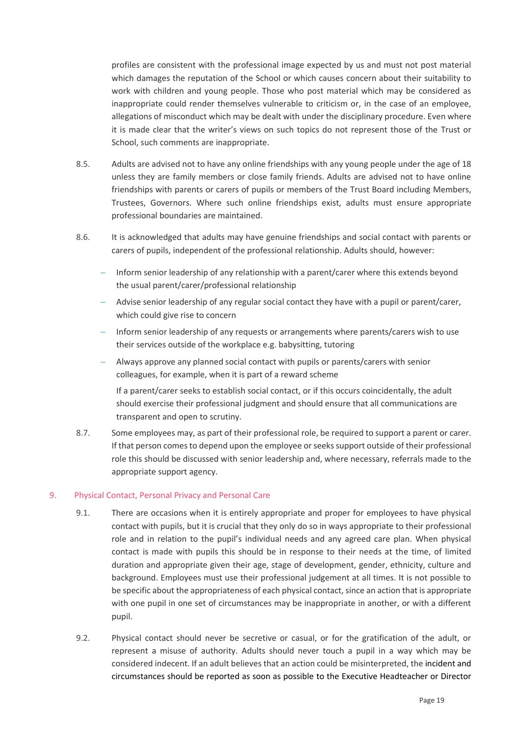profiles are consistent with the professional image expected by us and must not post material which damages the reputation of the School or which causes concern about their suitability to work with children and young people. Those who post material which may be considered as inappropriate could render themselves vulnerable to criticism or, in the case of an employee, allegations of misconduct which may be dealt with under the disciplinary procedure. Even where it is made clear that the writer's views on such topics do not represent those of the Trust or School, such comments are inappropriate.

- 8.5. Adults are advised not to have any online friendships with any young people under the age of 18 unless they are family members or close family friends. Adults are advised not to have online friendships with parents or carers of pupils or members of the Trust Board including Members, Trustees, Governors. Where such online friendships exist, adults must ensure appropriate professional boundaries are maintained.
- 8.6. It is acknowledged that adults may have genuine friendships and social contact with parents or carers of pupils, independent of the professional relationship. Adults should, however:
	- Inform senior leadership of any relationship with a parent/carer where this extends beyond the usual parent/carer/professional relationship
	- Advise senior leadership of any regular social contact they have with a pupil or parent/carer, which could give rise to concern
	- Inform senior leadership of any requests or arrangements where parents/carers wish to use their services outside of the workplace e.g. babysitting, tutoring
	- Always approve any planned social contact with pupils or parents/carers with senior colleagues, for example, when it is part of a reward scheme

If a parent/carer seeks to establish social contact, or if this occurs coincidentally, the adult should exercise their professional judgment and should ensure that all communications are transparent and open to scrutiny.

8.7. Some employees may, as part of their professional role, be required to support a parent or carer. If that person comes to depend upon the employee or seeks support outside of their professional role this should be discussed with senior leadership and, where necessary, referrals made to the appropriate support agency.

# 9. Physical Contact, Personal Privacy and Personal Care

- 9.1. There are occasions when it is entirely appropriate and proper for employees to have physical contact with pupils, but it is crucial that they only do so in ways appropriate to their professional role and in relation to the pupil's individual needs and any agreed care plan. When physical contact is made with pupils this should be in response to their needs at the time, of limited duration and appropriate given their age, stage of development, gender, ethnicity, culture and background. Employees must use their professional judgement at all times. It is not possible to be specific about the appropriateness of each physical contact, since an action that is appropriate with one pupil in one set of circumstances may be inappropriate in another, or with a different pupil.
- 9.2. Physical contact should never be secretive or casual, or for the gratification of the adult, or represent a misuse of authority. Adults should never touch a pupil in a way which may be considered indecent. If an adult believes that an action could be misinterpreted, the incident and circumstances should be reported as soon as possible to the Executive Headteacher or Director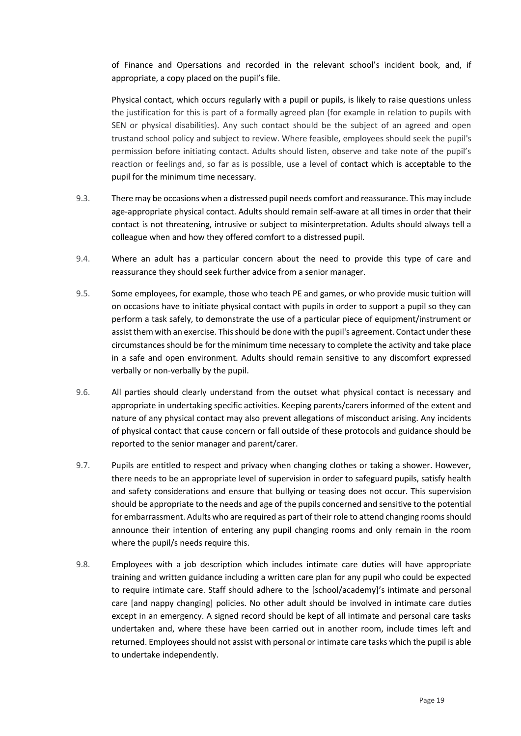of Finance and Opersations and recorded in the relevant school's incident book, and, if appropriate, a copy placed on the pupil's file.

Physical contact, which occurs regularly with a pupil or pupils, is likely to raise questions unless the justification for this is part of a formally agreed plan (for example in relation to pupils with SEN or physical disabilities). Any such contact should be the subject of an agreed and open trustand school policy and subject to review. Where feasible, employees should seek the pupil's permission before initiating contact. Adults should listen, observe and take note of the pupil's reaction or feelings and, so far as is possible, use a level of contact which is acceptable to the pupil for the minimum time necessary.

- 9.3. There may be occasions when a distressed pupil needs comfort and reassurance. This may include age-appropriate physical contact. Adults should remain self-aware at all times in order that their contact is not threatening, intrusive or subject to misinterpretation. Adults should always tell a colleague when and how they offered comfort to a distressed pupil.
- 9.4. Where an adult has a particular concern about the need to provide this type of care and reassurance they should seek further advice from a senior manager.
- 9.5. Some employees, for example, those who teach PE and games, or who provide music tuition will on occasions have to initiate physical contact with pupils in order to support a pupil so they can perform a task safely, to demonstrate the use of a particular piece of equipment/instrument or assist them with an exercise. This should be done with the pupil's agreement. Contact under these circumstances should be for the minimum time necessary to complete the activity and take place in a safe and open environment. Adults should remain sensitive to any discomfort expressed verbally or non-verbally by the pupil.
- 9.6. All parties should clearly understand from the outset what physical contact is necessary and appropriate in undertaking specific activities. Keeping parents/carers informed of the extent and nature of any physical contact may also prevent allegations of misconduct arising. Any incidents of physical contact that cause concern or fall outside of these protocols and guidance should be reported to the senior manager and parent/carer.
- 9.7. Pupils are entitled to respect and privacy when changing clothes or taking a shower. However, there needs to be an appropriate level of supervision in order to safeguard pupils, satisfy health and safety considerations and ensure that bullying or teasing does not occur. This supervision should be appropriate to the needs and age of the pupils concerned and sensitive to the potential for embarrassment. Adults who are required as part of their role to attend changing rooms should announce their intention of entering any pupil changing rooms and only remain in the room where the pupil/s needs require this.
- 9.8. Employees with a job description which includes intimate care duties will have appropriate training and written guidance including a written care plan for any pupil who could be expected to require intimate care. Staff should adhere to the [school/academy]'s intimate and personal care [and nappy changing] policies. No other adult should be involved in intimate care duties except in an emergency. A signed record should be kept of all intimate and personal care tasks undertaken and, where these have been carried out in another room, include times left and returned. Employees should not assist with personal or intimate care tasks which the pupil is able to undertake independently.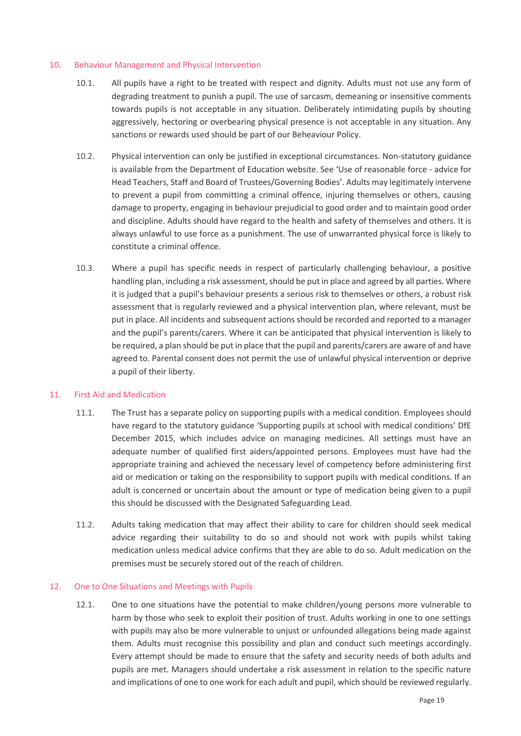#### 10. Behaviour Management and Physical Intervention

- 10.1. All pupils have a right to be treated with respect and dignity. Adults must not use any form of degrading treatment to punish a pupil. The use of sarcasm, demeaning or insensitive comments towards pupils is not acceptable in any situation. Deliberately intimidating pupils by shouting aggressively, hectoring or overbearing physical presence is not acceptable in any situation. Any sanctions or rewards used should be part of our Beheaviour Policy.
- 10.2. Physical intervention can only be justified in exceptional circumstances. Non-statutory guidance is available from the Department of Education website. See 'Use of reasonable force - advice for Head Teachers, Staff and Board of Trustees/Governing Bodies'. Adults may legitimately intervene to prevent a pupil from committing a criminal offence, injuring themselves or others, causing damage to property, engaging in behaviour prejudicial to good order and to maintain good order and discipline. Adults should have regard to the health and safety of themselves and others. It is always unlawful to use force as a punishment. The use of unwarranted physical force is likely to constitute a criminal offence.
- 10.3. Where a pupil has specific needs in respect of particularly challenging behaviour, a positive handling plan, including a risk assessment, should be put in place and agreed by all parties. Where it is judged that a pupil's behaviour presents a serious risk to themselves or others, a robust risk assessment that is regularly reviewed and a physical intervention plan, where relevant, must be put in place. All incidents and subsequent actions should be recorded and reported to a manager and the pupil's parents/carers. Where it can be anticipated that physical intervention is likely to be required, a plan should be put in place that the pupil and parents/carers are aware of and have agreed to. Parental consent does not permit the use of unlawful physical intervention or deprive a pupil of their liberty.

#### 11. First Aid and Medication

- 11.1. The Trust has a separate policy on supporting pupils with a medical condition. Employees should have regard to the statutory guidance 'Supporting pupils at school with medical conditions' DfE December 2015, which includes advice on managing medicines. All settings must have an adequate number of qualified first aiders/appointed persons. Employees must have had the appropriate training and achieved the necessary level of competency before administering first aid or medication or taking on the responsibility to support pupils with medical conditions. If an adult is concerned or uncertain about the amount or type of medication being given to a pupil this should be discussed with the Designated Safeguarding Lead.
- 11.2. Adults taking medication that may affect their ability to care for children should seek medical advice regarding their suitability to do so and should not work with pupils whilst taking medication unless medical advice confirms that they are able to do so. Adult medication on the premises must be securely stored out of the reach of children.

#### 12. One to One Situations and Meetings with Pupils

12.1. One to one situations have the potential to make children/young persons more vulnerable to harm by those who seek to exploit their position of trust. Adults working in one to one settings with pupils may also be more vulnerable to unjust or unfounded allegations being made against them. Adults must recognise this possibility and plan and conduct such meetings accordingly. Every attempt should be made to ensure that the safety and security needs of both adults and pupils are met. Managers should undertake a risk assessment in relation to the specific nature and implications of one to one work for each adult and pupil, which should be reviewed regularly.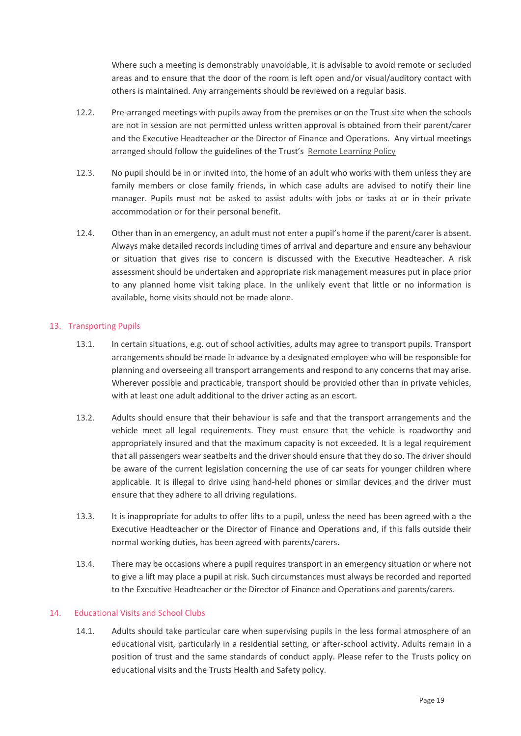Where such a meeting is demonstrably unavoidable, it is advisable to avoid remote or secluded areas and to ensure that the door of the room is left open and/or visual/auditory contact with others is maintained. Any arrangements should be reviewed on a regular basis.

- 12.2. Pre-arranged meetings with pupils away from the premises or on the Trust site when the schools are not in session are not permitted unless written approval is obtained from their parent/carer and the Executive Headteacher or the Director of Finance and Operations. Any virtual meetings arranged should follow the guidelines of the Trust's [Remote Learning Policy](https://www.elmleaschoolstrust.com/wp-content/uploads/2021/12/EST-Remote-Learning-Policy-November-2021.pdf)
- 12.3. No pupil should be in or invited into, the home of an adult who works with them unless they are family members or close family friends, in which case adults are advised to notify their line manager. Pupils must not be asked to assist adults with jobs or tasks at or in their private accommodation or for their personal benefit.
- 12.4. Other than in an emergency, an adult must not enter a pupil's home if the parent/carer is absent. Always make detailed records including times of arrival and departure and ensure any behaviour or situation that gives rise to concern is discussed with the Executive Headteacher. A risk assessment should be undertaken and appropriate risk management measures put in place prior to any planned home visit taking place. In the unlikely event that little or no information is available, home visits should not be made alone.

# 13. Transporting Pupils

- 13.1. In certain situations, e.g. out of school activities, adults may agree to transport pupils. Transport arrangements should be made in advance by a designated employee who will be responsible for planning and overseeing all transport arrangements and respond to any concerns that may arise. Wherever possible and practicable, transport should be provided other than in private vehicles, with at least one adult additional to the driver acting as an escort.
- 13.2. Adults should ensure that their behaviour is safe and that the transport arrangements and the vehicle meet all legal requirements. They must ensure that the vehicle is roadworthy and appropriately insured and that the maximum capacity is not exceeded. It is a legal requirement that all passengers wear seatbelts and the driver should ensure that they do so. The driver should be aware of the current legislation concerning the use of car seats for younger children where applicable. It is illegal to drive using hand-held phones or similar devices and the driver must ensure that they adhere to all driving regulations.
- 13.3. It is inappropriate for adults to offer lifts to a pupil, unless the need has been agreed with a the Executive Headteacher or the Director of Finance and Operations and, if this falls outside their normal working duties, has been agreed with parents/carers.
- 13.4. There may be occasions where a pupil requires transport in an emergency situation or where not to give a lift may place a pupil at risk. Such circumstances must always be recorded and reported to the Executive Headteacher or the Director of Finance and Operations and parents/carers.

#### 14. Educational Visits and School Clubs

14.1. Adults should take particular care when supervising pupils in the less formal atmosphere of an educational visit, particularly in a residential setting, or after-school activity. Adults remain in a position of trust and the same standards of conduct apply. Please refer to the Trusts policy on educational visits and the Trusts Health and Safety policy.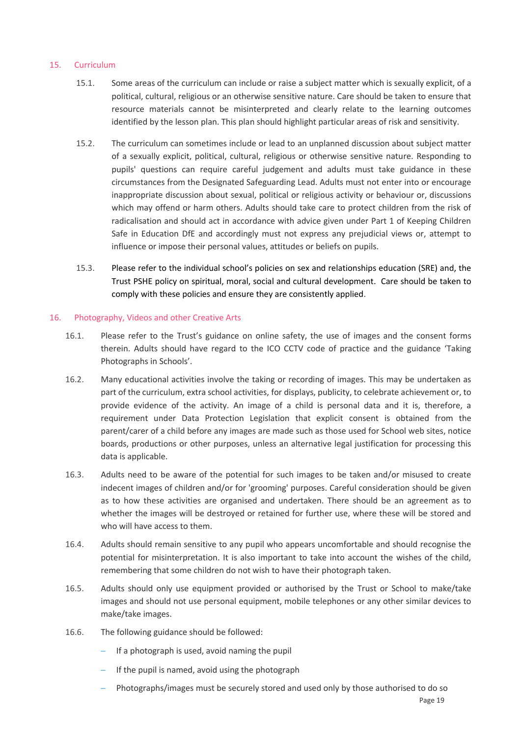#### 15. Curriculum

- 15.1. Some areas of the curriculum can include or raise a subject matter which is sexually explicit, of a political, cultural, religious or an otherwise sensitive nature. Care should be taken to ensure that resource materials cannot be misinterpreted and clearly relate to the learning outcomes identified by the lesson plan. This plan should highlight particular areas of risk and sensitivity.
- 15.2. The curriculum can sometimes include or lead to an unplanned discussion about subject matter of a sexually explicit, political, cultural, religious or otherwise sensitive nature. Responding to pupils' questions can require careful judgement and adults must take guidance in these circumstances from the Designated Safeguarding Lead. Adults must not enter into or encourage inappropriate discussion about sexual, political or religious activity or behaviour or, discussions which may offend or harm others. Adults should take care to protect children from the risk of radicalisation and should act in accordance with advice given under Part 1 of Keeping Children Safe in Education DfE and accordingly must not express any prejudicial views or, attempt to influence or impose their personal values, attitudes or beliefs on pupils.
- 15.3. Please refer to the individual school's policies on sex and relationships education (SRE) and, the Trust PSHE policy on spiritual, moral, social and cultural development. Care should be taken to comply with these policies and ensure they are consistently applied.

#### 16. Photography, Videos and other Creative Arts

- 16.1. Please refer to the Trust's guidance on online safety, the use of images and the consent forms therein. Adults should have regard to the ICO CCTV code of practice and the guidance 'Taking Photographs in Schools'.
- 16.2. Many educational activities involve the taking or recording of images. This may be undertaken as part of the curriculum, extra school activities, for displays, publicity, to celebrate achievement or, to provide evidence of the activity. An image of a child is personal data and it is, therefore, a requirement under Data Protection Legislation that explicit consent is obtained from the parent/carer of a child before any images are made such as those used for School web sites, notice boards, productions or other purposes, unless an alternative legal justification for processing this data is applicable.
- 16.3. Adults need to be aware of the potential for such images to be taken and/or misused to create indecent images of children and/or for 'grooming' purposes. Careful consideration should be given as to how these activities are organised and undertaken. There should be an agreement as to whether the images will be destroyed or retained for further use, where these will be stored and who will have access to them.
- 16.4. Adults should remain sensitive to any pupil who appears uncomfortable and should recognise the potential for misinterpretation. It is also important to take into account the wishes of the child, remembering that some children do not wish to have their photograph taken.
- 16.5. Adults should only use equipment provided or authorised by the Trust or School to make/take images and should not use personal equipment, mobile telephones or any other similar devices to make/take images.
- 16.6. The following guidance should be followed:
	- If a photograph is used, avoid naming the pupil
	- If the pupil is named, avoid using the photograph
	- Photographs/images must be securely stored and used only by those authorised to do so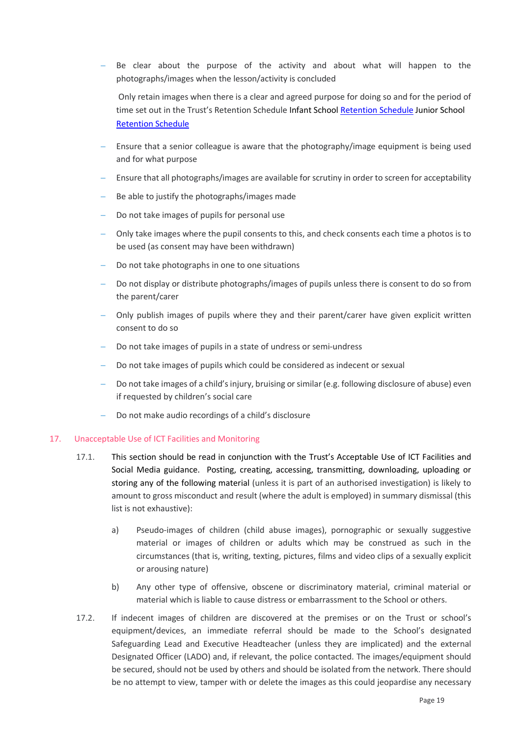Be clear about the purpose of the activity and about what will happen to the photographs/images when the lesson/activity is concluded

Only retain images when there is a clear and agreed purpose for doing so and for the period of time set out in the Trust's Retention Schedule Infant School [Retention](file://///SERVER1/Share/General%20Policies/TRUST%20POLICIES) Schedule Junior School [Retention Schedule](file:///R:/Policies/GDPR%20POLICIES)

- Ensure that a senior colleague is aware that the photography/image equipment is being used and for what purpose
- Ensure that all photographs/images are available for scrutiny in order to screen for acceptability
- Be able to justify the photographs/images made
- Do not take images of pupils for personal use
- Only take images where the pupil consents to this, and check consents each time a photos is to be used (as consent may have been withdrawn)
- Do not take photographs in one to one situations
- Do not display or distribute photographs/images of pupils unless there is consent to do so from the parent/carer
- Only publish images of pupils where they and their parent/carer have given explicit written consent to do so
- Do not take images of pupils in a state of undress or semi-undress
- Do not take images of pupils which could be considered as indecent or sexual
- Do not take images of a child's injury, bruising or similar (e.g. following disclosure of abuse) even if requested by children's social care
- Do not make audio recordings of a child's disclosure

#### 17. Unacceptable Use of ICT Facilities and Monitoring

- 17.1. This section should be read in conjunction with the Trust's Acceptable Use of ICT Facilities and Social Media guidance. Posting, creating, accessing, transmitting, downloading, uploading or storing any of the following material (unless it is part of an authorised investigation) is likely to amount to gross misconduct and result (where the adult is employed) in summary dismissal (this list is not exhaustive):
	- a) Pseudo-images of children (child abuse images), pornographic or sexually suggestive material or images of children or adults which may be construed as such in the circumstances (that is, writing, texting, pictures, films and video clips of a sexually explicit or arousing nature)
	- b) Any other type of offensive, obscene or discriminatory material, criminal material or material which is liable to cause distress or embarrassment to the School or others.
- 17.2. If indecent images of children are discovered at the premises or on the Trust or school's equipment/devices, an immediate referral should be made to the School's designated Safeguarding Lead and Executive Headteacher (unless they are implicated) and the external Designated Officer (LADO) and, if relevant, the police contacted. The images/equipment should be secured, should not be used by others and should be isolated from the network. There should be no attempt to view, tamper with or delete the images as this could jeopardise any necessary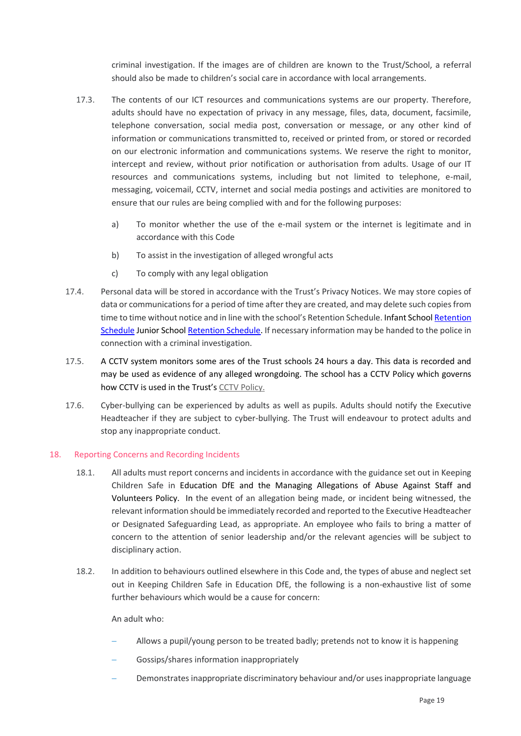criminal investigation. If the images are of children are known to the Trust/School, a referral should also be made to children's social care in accordance with local arrangements.

- 17.3. The contents of our ICT resources and communications systems are our property. Therefore, adults should have no expectation of privacy in any message, files, data, document, facsimile, telephone conversation, social media post, conversation or message, or any other kind of information or communications transmitted to, received or printed from, or stored or recorded on our electronic information and communications systems. We reserve the right to monitor, intercept and review, without prior notification or authorisation from adults. Usage of our IT resources and communications systems, including but not limited to telephone, e-mail, messaging, voicemail, CCTV, internet and social media postings and activities are monitored to ensure that our rules are being complied with and for the following purposes:
	- a) To monitor whether the use of the e-mail system or the internet is legitimate and in accordance with this Code
	- b) To assist in the investigation of alleged wrongful acts
	- c) To comply with any legal obligation
- 17.4. Personal data will be stored in accordance with the Trust's Privacy Notices. We may store copies of data or communications for a period of time after they are created, and may delete such copies from time to time without notice and in line with the school's Retention Schedule. Infant School Retention [Schedule](file://///SERVER1/Share/General%20Policies/TRUST%20POLICIES) Junior Schoo[l Retention Schedule.](file:///R:/Policies/GDPR%20POLICIES) If necessary information may be handed to the police in connection with a criminal investigation.
- 17.5. A CCTV system monitors some ares of the Trust schools 24 hours a day. This data is recorded and may be used as evidence of any alleged wrongdoing. The school has a CCTV Policy which governs how CCTV is used in the Trust's [CCTV Policy.](https://www.elmleaschoolstrust.com/wp-content/uploads/2022/03/CCTV-Policy-v1.0-Elmlea-schools-trust.pdf)
- 17.6. Cyber-bullying can be experienced by adults as well as pupils. Adults should notify the Executive Headteacher if they are subject to cyber-bullying. The Trust will endeavour to protect adults and stop any inappropriate conduct.

# 18. Reporting Concerns and Recording Incidents

- 18.1. All adults must report concerns and incidents in accordance with the guidance set out in Keeping Children Safe in Education DfE and the Managing Allegations of Abuse Against Staff and Volunteers Policy. In the event of an allegation being made, or incident being witnessed, the relevant information should be immediately recorded and reported to the Executive Headteacher or Designated Safeguarding Lead, as appropriate. An employee who fails to bring a matter of concern to the attention of senior leadership and/or the relevant agencies will be subject to disciplinary action.
- 18.2. In addition to behaviours outlined elsewhere in this Code and, the types of abuse and neglect set out in Keeping Children Safe in Education DfE, the following is a non-exhaustive list of some further behaviours which would be a cause for concern:

An adult who:

- Allows a pupil/young person to be treated badly; pretends not to know it is happening
- Gossips/shares information inappropriately
- Demonstrates inappropriate discriminatory behaviour and/or uses inappropriate language